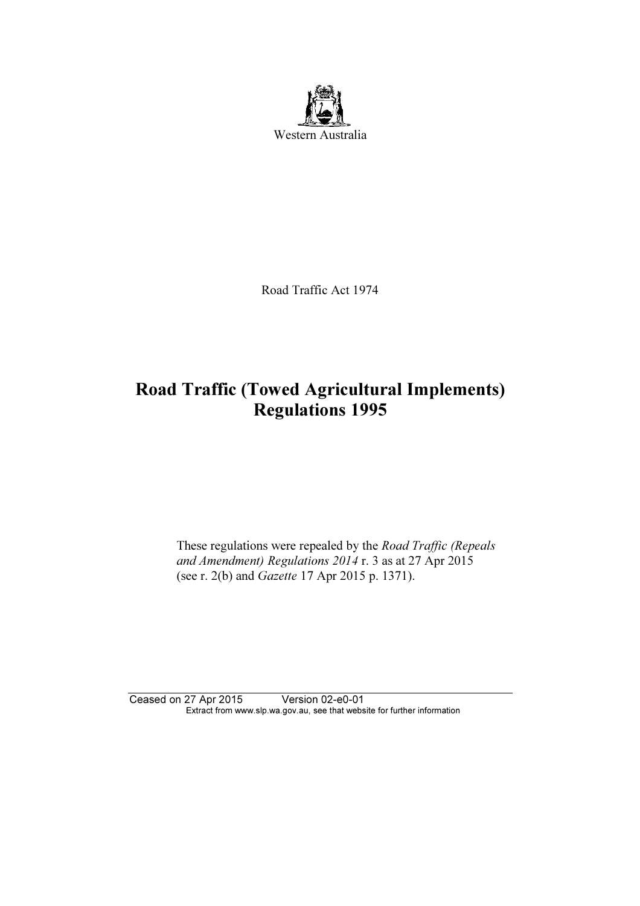

Road Traffic Act 1974

# Road Traffic (Towed Agricultural Implements) Regulations 1995

These regulations were repealed by the Road Traffic (Repeals and Amendment) Regulations 2014 r. 3 as at 27 Apr 2015 (see r. 2(b) and Gazette 17 Apr 2015 p. 1371).

Ceased on 27 Apr 2015 Version 02-e0-01 Extract from www.slp.wa.gov.au, see that website for further information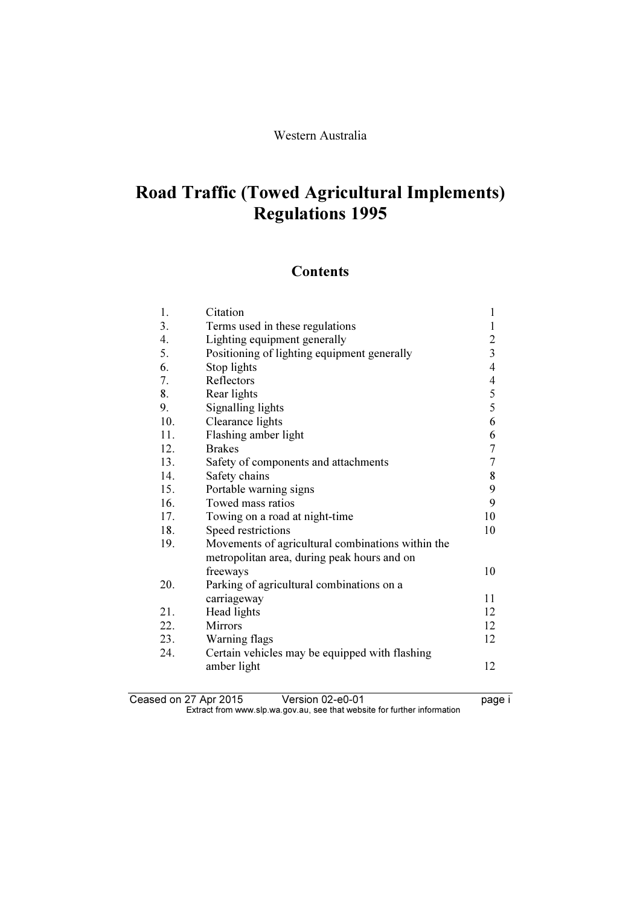# Road Traffic (Towed Agricultural Implements) Regulations 1995

### **Contents**

| 1.  | Citation                                          | 1                |
|-----|---------------------------------------------------|------------------|
| 3.  | Terms used in these regulations                   | $\mathbf{1}$     |
| 4.  | Lighting equipment generally                      | $\boldsymbol{2}$ |
| 5.  | Positioning of lighting equipment generally       | $\overline{3}$   |
| 6.  | Stop lights                                       | $\overline{4}$   |
| 7.  | Reflectors                                        | $\overline{4}$   |
| 8.  | Rear lights                                       | $\frac{5}{5}$    |
| 9.  | Signalling lights                                 |                  |
| 10. | Clearance lights                                  | 6                |
| 11. | Flashing amber light                              | 6                |
| 12. | <b>Brakes</b>                                     | $\boldsymbol{7}$ |
| 13. | Safety of components and attachments              | $\overline{7}$   |
| 14. | Safety chains                                     | 8                |
| 15. | Portable warning signs                            | 9                |
| 16. | Towed mass ratios                                 | 9                |
| 17. | Towing on a road at night-time                    | 10               |
| 18. | Speed restrictions                                | 10               |
| 19. | Movements of agricultural combinations within the |                  |
|     | metropolitan area, during peak hours and on       |                  |
|     | freeways                                          | 10               |
| 20. | Parking of agricultural combinations on a         |                  |
|     | carriageway                                       | 11               |
| 21. | Head lights                                       | 12               |
| 22. | <b>Mirrors</b>                                    | 12               |
| 23. | Warning flags                                     | 12               |
| 24. | Certain vehicles may be equipped with flashing    |                  |
|     | amber light                                       | 12               |
|     |                                                   |                  |

Ceased on 27 Apr 2015 Version 02-e0-01 **page i**  $\mathbf{F}$  from which was the set that we besite for further information  $\mathbf{F}$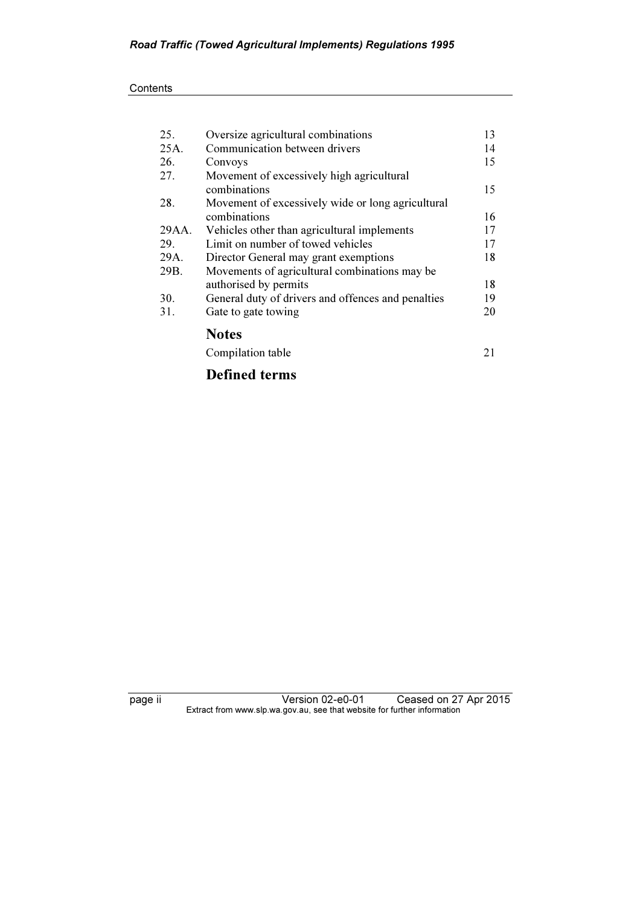| 25.   | Oversize agricultural combinations                 | 13 |
|-------|----------------------------------------------------|----|
| 25A.  | Communication between drivers                      | 14 |
| 26.   | Convoys                                            | 15 |
| 27.   | Movement of excessively high agricultural          |    |
|       | combinations                                       | 15 |
| 28.   | Movement of excessively wide or long agricultural  |    |
|       | combinations                                       | 16 |
| 29AA. | Vehicles other than agricultural implements        | 17 |
| 29.   | Limit on number of towed vehicles                  | 17 |
| 29A.  | Director General may grant exemptions              | 18 |
| 29B.  | Movements of agricultural combinations may be      |    |
|       | authorised by permits                              | 18 |
| 30.   | General duty of drivers and offences and penalties | 19 |
| 31.   | Gate to gate towing                                | 20 |
|       | <b>Notes</b>                                       |    |
|       | Compilation table                                  | 21 |
|       |                                                    |    |

## Defined terms

page ii Version 02-e0-01 Ceased on 27 Apr 2015  $\mathbf{F}$  from which was the set that we besite for further information  $\mathbf{F}$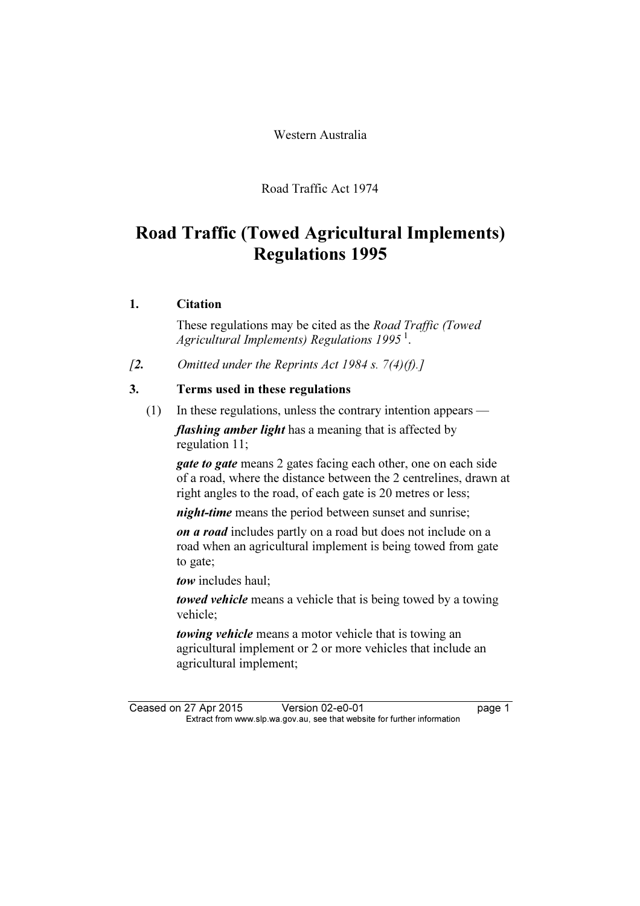Western Australia

Road Traffic Act 1974

# Road Traffic (Towed Agricultural Implements) Regulations 1995

#### 1. Citation

 These regulations may be cited as the Road Traffic (Towed Agricultural Implements) Regulations  $1995^1$ .

[2. Omitted under the Reprints Act 1984 s.  $7(4)(f)$ .]

#### 3. Terms used in these regulations

(1) In these regulations, unless the contrary intention appears —

flashing amber light has a meaning that is affected by regulation 11;

**gate to gate** means 2 gates facing each other, one on each side of a road, where the distance between the 2 centrelines, drawn at right angles to the road, of each gate is 20 metres or less;

*night-time* means the period between sunset and sunrise:

on a road includes partly on a road but does not include on a road when an agricultural implement is being towed from gate to gate;

tow includes haul;

towed vehicle means a vehicle that is being towed by a towing vehicle;

towing vehicle means a motor vehicle that is towing an agricultural implement or 2 or more vehicles that include an agricultural implement;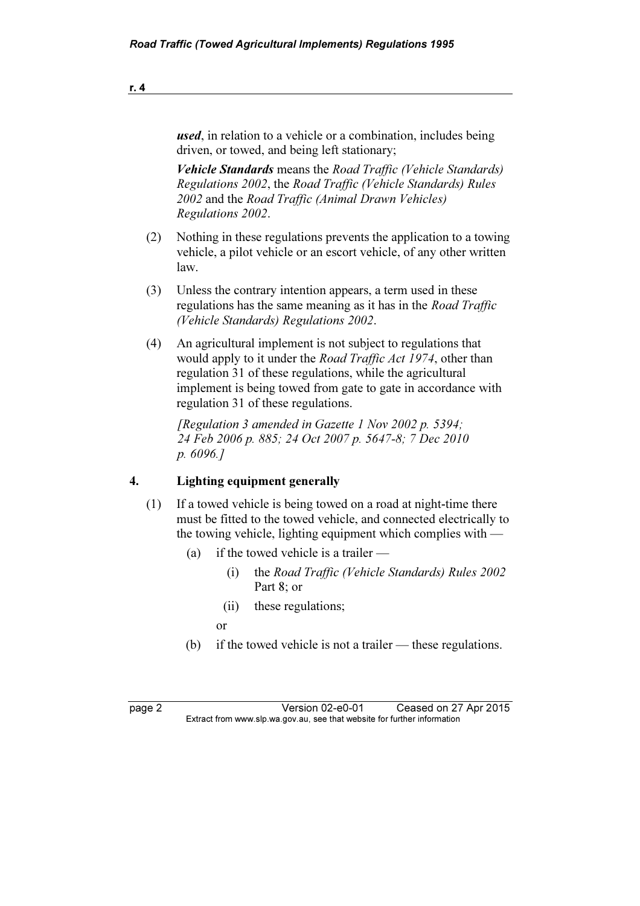used, in relation to a vehicle or a combination, includes being driven, or towed, and being left stationary; Vehicle Standards means the Road Traffic (Vehicle Standards) Regulations 2002, the Road Traffic (Vehicle Standards) Rules 2002 and the Road Traffic (Animal Drawn Vehicles) Regulations 2002.

- (2) Nothing in these regulations prevents the application to a towing vehicle, a pilot vehicle or an escort vehicle, of any other written law.
- (3) Unless the contrary intention appears, a term used in these regulations has the same meaning as it has in the Road Traffic (Vehicle Standards) Regulations 2002.
- (4) An agricultural implement is not subject to regulations that would apply to it under the *Road Traffic Act 1974*, other than regulation 31 of these regulations, while the agricultural implement is being towed from gate to gate in accordance with regulation 31 of these regulations.

 [Regulation 3 amended in Gazette 1 Nov 2002 p. 5394; 24 Feb 2006 p. 885; 24 Oct 2007 p. 5647-8; 7 Dec 2010 p. 6096.]

#### 4. Lighting equipment generally

- (1) If a towed vehicle is being towed on a road at night-time there must be fitted to the towed vehicle, and connected electrically to the towing vehicle, lighting equipment which complies with —
	- (a) if the towed vehicle is a trailer
		- (i) the Road Traffic (Vehicle Standards) Rules 2002 Part 8; or
		- (ii) these regulations;
- or
	- (b) if the towed vehicle is not a trailer these regulations.

page 2 Version 02-e0-01 Ceased on 27 Apr 2015<br>Extract from www.slp.wa.gov.au, see that website for further information  $\mathbf{F}$  from which was the set that we besite for further information  $\mathbf{F}$ 

r. 4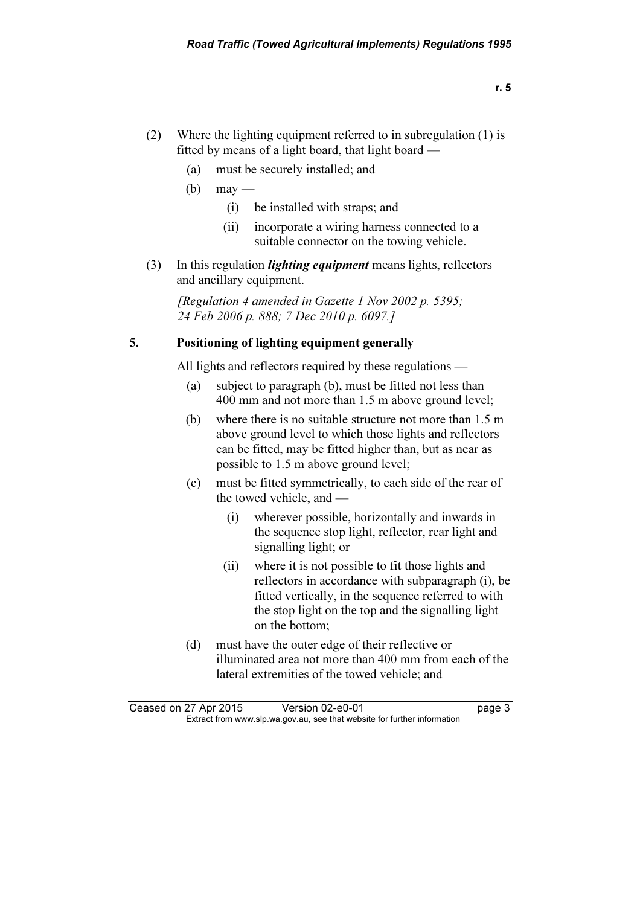- (2) Where the lighting equipment referred to in subregulation (1) is fitted by means of a light board, that light board —
	- (a) must be securely installed; and
	- $(b)$  may
		- (i) be installed with straps; and
		- (ii) incorporate a wiring harness connected to a suitable connector on the towing vehicle.
- $(3)$  In this regulation *lighting equipment* means lights, reflectors and ancillary equipment.

[Regulation 4 amended in Gazette 1 Nov 2002 p. 5395; 24 Feb 2006 p. 888; 7 Dec 2010 p. 6097.]

#### 5. Positioning of lighting equipment generally

All lights and reflectors required by these regulations —

- (a) subject to paragraph (b), must be fitted not less than 400 mm and not more than 1.5 m above ground level;
- (b) where there is no suitable structure not more than 1.5 m above ground level to which those lights and reflectors can be fitted, may be fitted higher than, but as near as possible to 1.5 m above ground level;
- (c) must be fitted symmetrically, to each side of the rear of the towed vehicle, and —
	- (i) wherever possible, horizontally and inwards in the sequence stop light, reflector, rear light and signalling light; or
	- (ii) where it is not possible to fit those lights and reflectors in accordance with subparagraph (i), be fitted vertically, in the sequence referred to with the stop light on the top and the signalling light on the bottom;
- (d) must have the outer edge of their reflective or illuminated area not more than 400 mm from each of the lateral extremities of the towed vehicle; and

Ceased on 27 Apr 2015 Version 02-e0-01 page 3<br>Extract from www.slp.wa.gov.au, see that website for further information  $\mathbf{F}$  from which was the set that we besite for further information  $\mathbf{F}$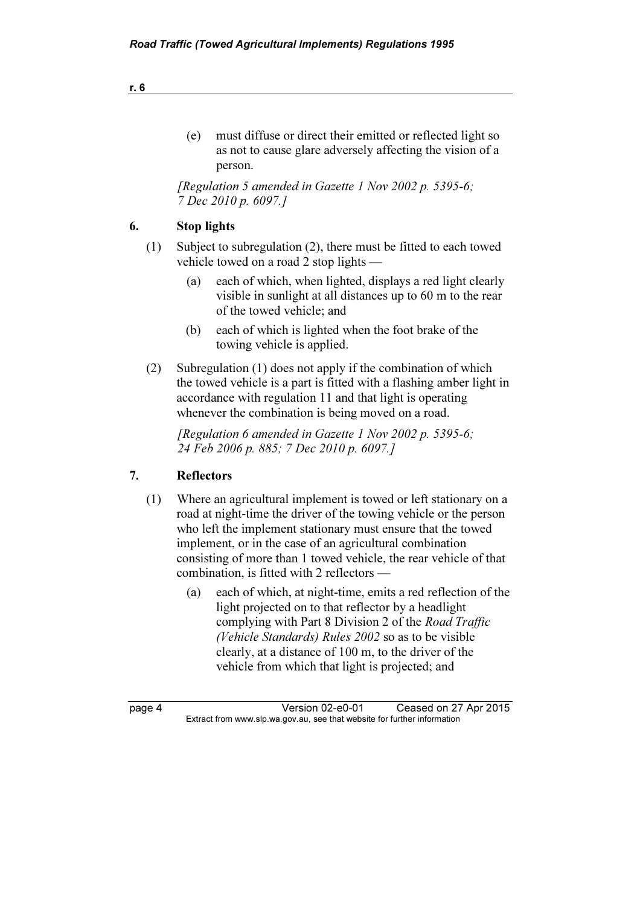| must diffuse or direct their emitted or reflected light so |
|------------------------------------------------------------|
| as not to cause glare adversely affecting the vision of a  |
| person.                                                    |

[Regulation 5 amended in Gazette 1 Nov 2002 p. 5395-6; 7 Dec 2010 p. 6097.]

#### 6. Stop lights

- (1) Subject to subregulation (2), there must be fitted to each towed vehicle towed on a road 2 stop lights —
	- (a) each of which, when lighted, displays a red light clearly visible in sunlight at all distances up to 60 m to the rear of the towed vehicle; and
	- (b) each of which is lighted when the foot brake of the towing vehicle is applied.
- (2) Subregulation (1) does not apply if the combination of which the towed vehicle is a part is fitted with a flashing amber light in accordance with regulation 11 and that light is operating whenever the combination is being moved on a road.

[Regulation 6 amended in Gazette 1 Nov 2002 p. 5395-6; 24 Feb 2006 p. 885; 7 Dec 2010 p. 6097.]

#### 7. Reflectors

- (1) Where an agricultural implement is towed or left stationary on a road at night-time the driver of the towing vehicle or the person who left the implement stationary must ensure that the towed implement, or in the case of an agricultural combination consisting of more than 1 towed vehicle, the rear vehicle of that combination, is fitted with 2 reflectors —
	- (a) each of which, at night-time, emits a red reflection of the light projected on to that reflector by a headlight complying with Part 8 Division 2 of the Road Traffic (Vehicle Standards) Rules 2002 so as to be visible clearly, at a distance of 100 m, to the driver of the vehicle from which that light is projected; and

page 4 Version 02-e0-01 Ceased on 27 Apr 2015<br>Extract from www.slp.wa.gov.au, see that website for further information  $\mathbf{F}$  from which was the set that we besite for further information  $\mathbf{F}$ 

r. 6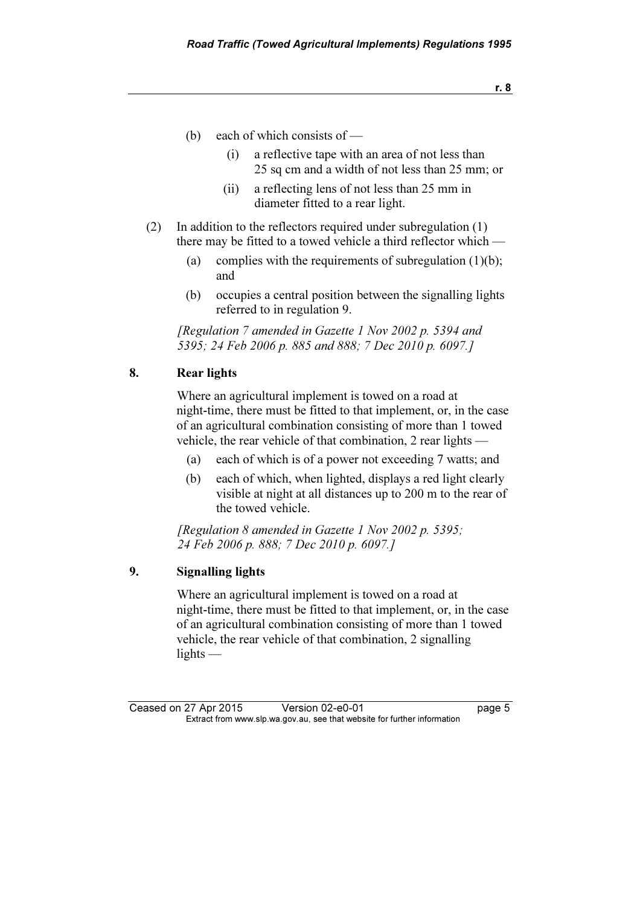- (b) each of which consists of
	- (i) a reflective tape with an area of not less than 25 sq cm and a width of not less than 25 mm; or
	- (ii) a reflecting lens of not less than 25 mm in diameter fitted to a rear light.
- (2) In addition to the reflectors required under subregulation (1) there may be fitted to a towed vehicle a third reflector which —
	- (a) complies with the requirements of subregulation  $(1)(b)$ ; and
	- (b) occupies a central position between the signalling lights referred to in regulation 9.

 [Regulation 7 amended in Gazette 1 Nov 2002 p. 5394 and 5395; 24 Feb 2006 p. 885 and 888; 7 Dec 2010 p. 6097.]

#### 8. Rear lights

 Where an agricultural implement is towed on a road at night-time, there must be fitted to that implement, or, in the case of an agricultural combination consisting of more than 1 towed vehicle, the rear vehicle of that combination, 2 rear lights —

- (a) each of which is of a power not exceeding 7 watts; and
- (b) each of which, when lighted, displays a red light clearly visible at night at all distances up to 200 m to the rear of the towed vehicle.

 [Regulation 8 amended in Gazette 1 Nov 2002 p. 5395; 24 Feb 2006 p. 888; 7 Dec 2010 p. 6097.]

#### 9. Signalling lights

 Where an agricultural implement is towed on a road at night-time, there must be fitted to that implement, or, in the case of an agricultural combination consisting of more than 1 towed vehicle, the rear vehicle of that combination, 2 signalling lights —

Ceased on 27 Apr 2015 Version 02-e0-01 page 5<br>Extract from www.slp.wa.gov.au, see that website for further information  $\mathbf{F}$  from which was the set that we besite for further information  $\mathbf{F}$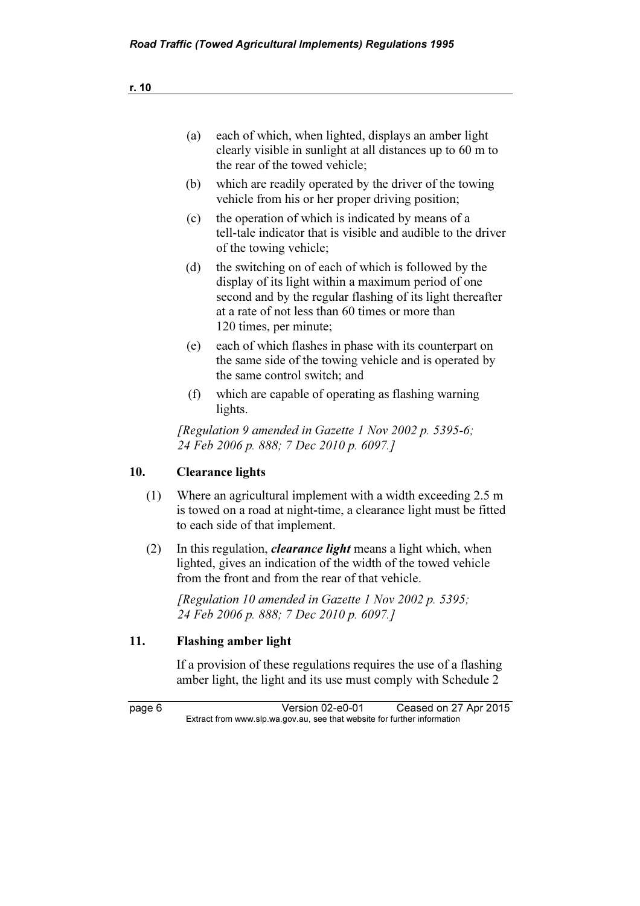| (a) | each of which, when lighted, displays an amber light<br>clearly visible in sunlight at all distances up to 60 m to<br>the rear of the towed vehicle;                                                                                                    |
|-----|---------------------------------------------------------------------------------------------------------------------------------------------------------------------------------------------------------------------------------------------------------|
| (b) | which are readily operated by the driver of the towing<br>vehicle from his or her proper driving position;                                                                                                                                              |
| (c) | the operation of which is indicated by means of a<br>tell-tale indicator that is visible and audible to the driver<br>of the towing vehicle;                                                                                                            |
| (d) | the switching on of each of which is followed by the<br>display of its light within a maximum period of one<br>second and by the regular flashing of its light thereafter<br>at a rate of not less than 60 times or more than<br>120 times, per minute; |
| (e) | each of which flashes in phase with its counterpart on<br>the same side of the towing vehicle and is operated by<br>the same control switch; and                                                                                                        |
| (f) | which are capable of operating as flashing warning<br>lights.                                                                                                                                                                                           |
|     | [Regulation 9 amended in Gazette 1 Nov 2002 p. 5395-6;<br>24 Feb 2006 p. 888; 7 Dec 2010 p. 6097.]                                                                                                                                                      |

#### 10. Clearance lights

- (1) Where an agricultural implement with a width exceeding 2.5 m is towed on a road at night-time, a clearance light must be fitted to each side of that implement.
- (2) In this regulation, *clearance light* means a light which, when lighted, gives an indication of the width of the towed vehicle from the front and from the rear of that vehicle.

[Regulation 10 amended in Gazette 1 Nov 2002 p. 5395; 24 Feb 2006 p. 888; 7 Dec 2010 p. 6097.]

#### 11. Flashing amber light

 If a provision of these regulations requires the use of a flashing amber light, the light and its use must comply with Schedule 2

page 6 Version 02-e0-01 Ceased on 27 Apr 2015<br>Extract from www.slp.wa.gov.au, see that website for further information  $\mathbf{F}$  from which was the set that we besite for further information  $\mathbf{F}$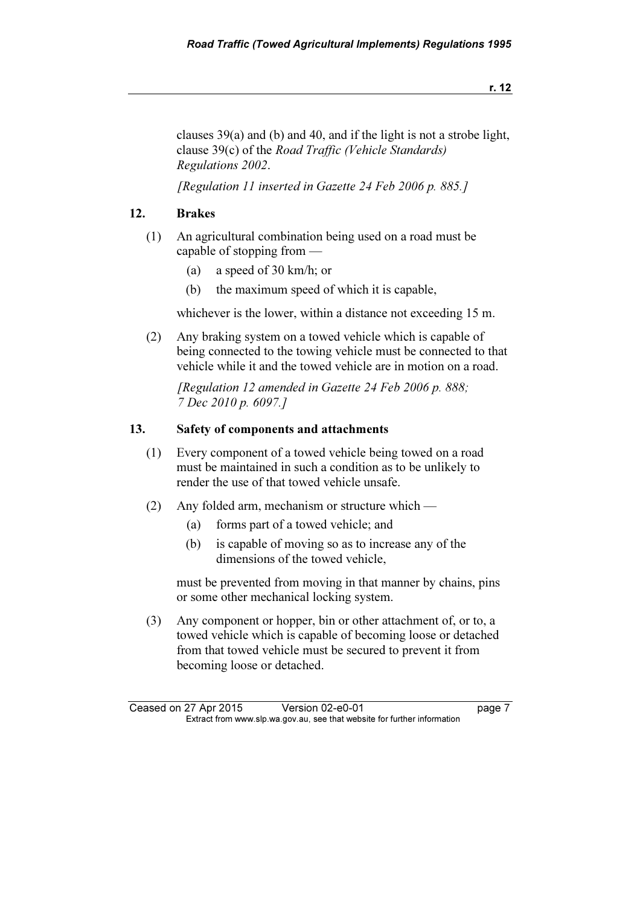clauses 39(a) and (b) and 40, and if the light is not a strobe light, clause 39(c) of the Road Traffic (Vehicle Standards) Regulations 2002.

[Regulation 11 inserted in Gazette 24 Feb 2006 p. 885.]

#### 12. Brakes

- (1) An agricultural combination being used on a road must be capable of stopping from —
	- (a) a speed of 30 km/h; or
	- (b) the maximum speed of which it is capable,

whichever is the lower, within a distance not exceeding 15 m.

 (2) Any braking system on a towed vehicle which is capable of being connected to the towing vehicle must be connected to that vehicle while it and the towed vehicle are in motion on a road.

 [Regulation 12 amended in Gazette 24 Feb 2006 p. 888; 7 Dec 2010 p. 6097.]

#### 13. Safety of components and attachments

- (1) Every component of a towed vehicle being towed on a road must be maintained in such a condition as to be unlikely to render the use of that towed vehicle unsafe.
- (2) Any folded arm, mechanism or structure which
	- (a) forms part of a towed vehicle; and
	- (b) is capable of moving so as to increase any of the dimensions of the towed vehicle,

 must be prevented from moving in that manner by chains, pins or some other mechanical locking system.

 (3) Any component or hopper, bin or other attachment of, or to, a towed vehicle which is capable of becoming loose or detached from that towed vehicle must be secured to prevent it from becoming loose or detached.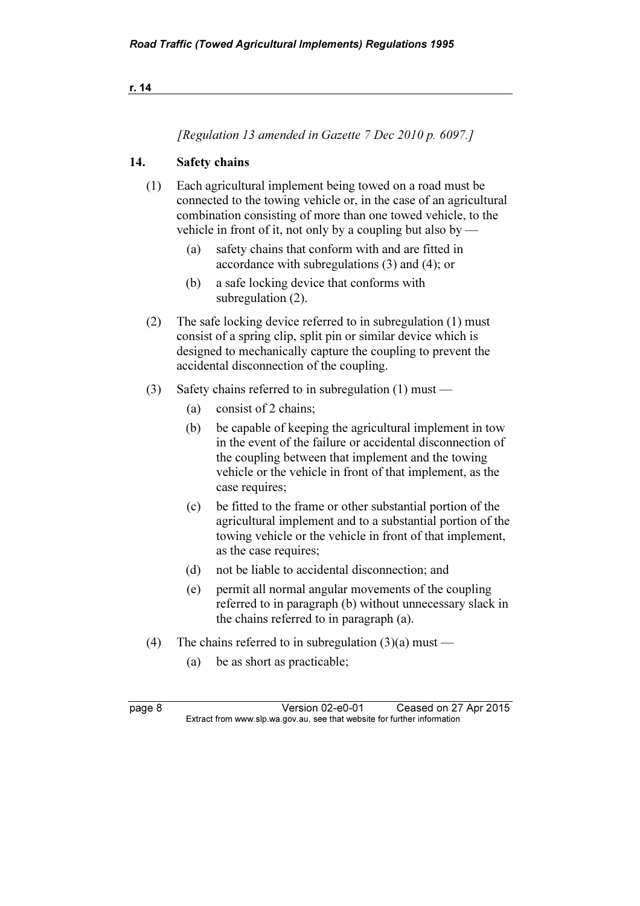[Regulation 13 amended in Gazette 7 Dec 2010 p. 6097.]

#### 14. Safety chains

- (1) Each agricultural implement being towed on a road must be connected to the towing vehicle or, in the case of an agricultural combination consisting of more than one towed vehicle, to the vehicle in front of it, not only by a coupling but also by —
	- (a) safety chains that conform with and are fitted in accordance with subregulations (3) and (4); or
	- (b) a safe locking device that conforms with subregulation (2).
- (2) The safe locking device referred to in subregulation (1) must consist of a spring clip, split pin or similar device which is designed to mechanically capture the coupling to prevent the accidental disconnection of the coupling.
- (3) Safety chains referred to in subregulation (1) must
	- (a) consist of 2 chains;
	- (b) be capable of keeping the agricultural implement in tow in the event of the failure or accidental disconnection of the coupling between that implement and the towing vehicle or the vehicle in front of that implement, as the case requires;
	- (c) be fitted to the frame or other substantial portion of the agricultural implement and to a substantial portion of the towing vehicle or the vehicle in front of that implement, as the case requires;
	- (d) not be liable to accidental disconnection; and
	- (e) permit all normal angular movements of the coupling referred to in paragraph (b) without unnecessary slack in the chains referred to in paragraph (a).
- (4) The chains referred to in subregulation  $(3)(a)$  must
	- (a) be as short as practicable;

page 8 Version 02-e0-01 Ceased on 27 Apr 2015<br>Extract from www.slp.wa.gov.au, see that website for further information  $\mathbf{F}$  from which was the set that we besite for further information  $\mathbf{F}$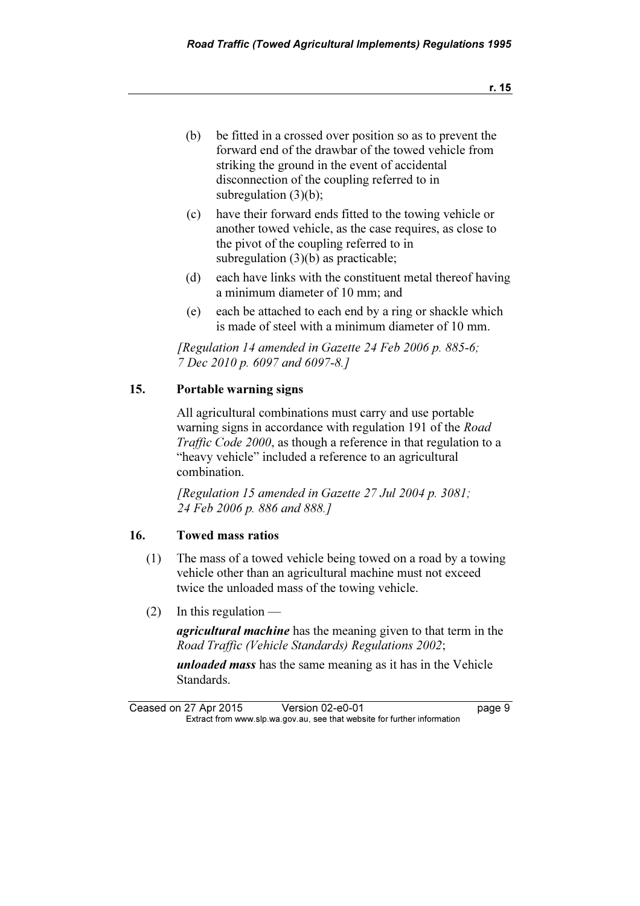- (b) be fitted in a crossed over position so as to prevent the forward end of the drawbar of the towed vehicle from striking the ground in the event of accidental disconnection of the coupling referred to in subregulation (3)(b);
- (c) have their forward ends fitted to the towing vehicle or another towed vehicle, as the case requires, as close to the pivot of the coupling referred to in subregulation (3)(b) as practicable;
- (d) each have links with the constituent metal thereof having a minimum diameter of 10 mm; and
- (e) each be attached to each end by a ring or shackle which is made of steel with a minimum diameter of 10 mm.

[Regulation 14 amended in Gazette 24 Feb 2006 p. 885-6; 7 Dec 2010 p. 6097 and 6097-8.]

#### 15. Portable warning signs

 All agricultural combinations must carry and use portable warning signs in accordance with regulation 191 of the Road Traffic Code 2000, as though a reference in that regulation to a "heavy vehicle" included a reference to an agricultural combination.

 [Regulation 15 amended in Gazette 27 Jul 2004 p. 3081; 24 Feb 2006 p. 886 and 888.]

#### 16. Towed mass ratios

- (1) The mass of a towed vehicle being towed on a road by a towing vehicle other than an agricultural machine must not exceed twice the unloaded mass of the towing vehicle.
- $(2)$  In this regulation —

agricultural machine has the meaning given to that term in the Road Traffic (Vehicle Standards) Regulations 2002;

unloaded mass has the same meaning as it has in the Vehicle Standards.

Ceased on 27 Apr 2015 Version 02-e0-01 page 9<br>Extract from www.slp.wa.gov.au, see that website for further information  $\mathbf{F}$  from which was the set that we besite for further information  $\mathbf{F}$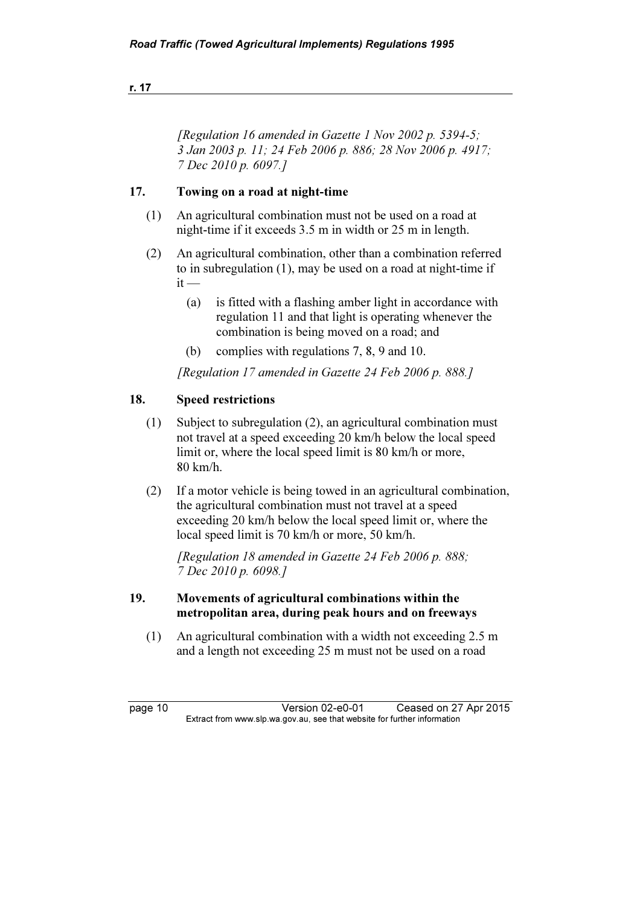| r. 17 |  |  |
|-------|--|--|
|       |  |  |

[Regulation 16 amended in Gazette 1 Nov 2002 p. 5394-5; 3 Jan 2003 p. 11; 24 Feb 2006 p. 886; 28 Nov 2006 p. 4917; 7 Dec 2010 p. 6097.]

#### 17. Towing on a road at night-time

- (1) An agricultural combination must not be used on a road at night-time if it exceeds 3.5 m in width or 25 m in length.
- (2) An agricultural combination, other than a combination referred to in subregulation (1), may be used on a road at night-time if  $it -$ 
	- (a) is fitted with a flashing amber light in accordance with regulation 11 and that light is operating whenever the combination is being moved on a road; and
	- (b) complies with regulations 7, 8, 9 and 10.

[Regulation 17 amended in Gazette 24 Feb 2006 p. 888.]

#### 18. Speed restrictions

- (1) Subject to subregulation (2), an agricultural combination must not travel at a speed exceeding 20 km/h below the local speed limit or, where the local speed limit is 80 km/h or more, 80 km/h.
- (2) If a motor vehicle is being towed in an agricultural combination, the agricultural combination must not travel at a speed exceeding 20 km/h below the local speed limit or, where the local speed limit is 70 km/h or more, 50 km/h.

[Regulation 18 amended in Gazette 24 Feb 2006 p. 888; 7 Dec 2010 p. 6098.]

#### 19. Movements of agricultural combinations within the metropolitan area, during peak hours and on freeways

 (1) An agricultural combination with a width not exceeding 2.5 m and a length not exceeding 25 m must not be used on a road

page 10 Version 02-e0-01 Ceased on 27 Apr 2015<br>Extract from www.slp.wa.gov.au, see that website for further information  $\mathbf{F}$  from which was the set that we besite for further information  $\mathbf{F}$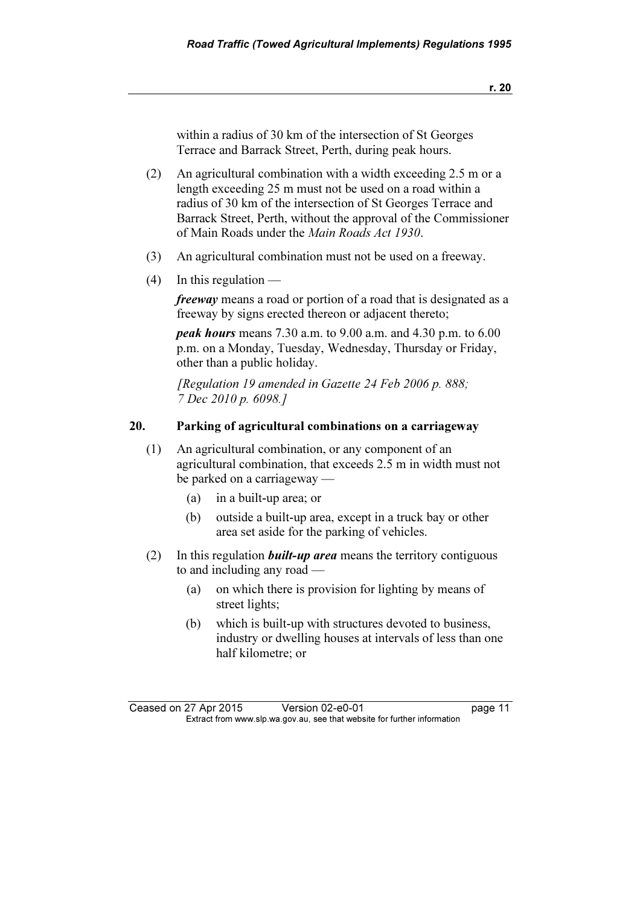r. 20

within a radius of 30 km of the intersection of St Georges Terrace and Barrack Street, Perth, during peak hours.

- (2) An agricultural combination with a width exceeding 2.5 m or a length exceeding 25 m must not be used on a road within a radius of 30 km of the intersection of St Georges Terrace and Barrack Street, Perth, without the approval of the Commissioner of Main Roads under the Main Roads Act 1930.
- (3) An agricultural combination must not be used on a freeway.
- $(4)$  In this regulation —

freeway means a road or portion of a road that is designated as a freeway by signs erected thereon or adjacent thereto;

peak hours means 7.30 a.m. to 9.00 a.m. and 4.30 p.m. to 6.00 p.m. on a Monday, Tuesday, Wednesday, Thursday or Friday, other than a public holiday.

 [Regulation 19 amended in Gazette 24 Feb 2006 p. 888; 7 Dec 2010 p. 6098.]

#### 20. Parking of agricultural combinations on a carriageway

- (1) An agricultural combination, or any component of an agricultural combination, that exceeds 2.5 m in width must not be parked on a carriageway —
	- (a) in a built-up area; or
	- (b) outside a built-up area, except in a truck bay or other area set aside for the parking of vehicles.
- (2) In this regulation *built-up area* means the territory contiguous to and including any road —
	- (a) on which there is provision for lighting by means of street lights;
	- (b) which is built-up with structures devoted to business, industry or dwelling houses at intervals of less than one half kilometre; or

Ceased on 27 Apr 2015 Version 02-e0-01 page 11<br>Extract from www.slp.wa.gov.au, see that website for further information  $\mathbf{F}$  from which was the set that we besite for further information  $\mathbf{F}$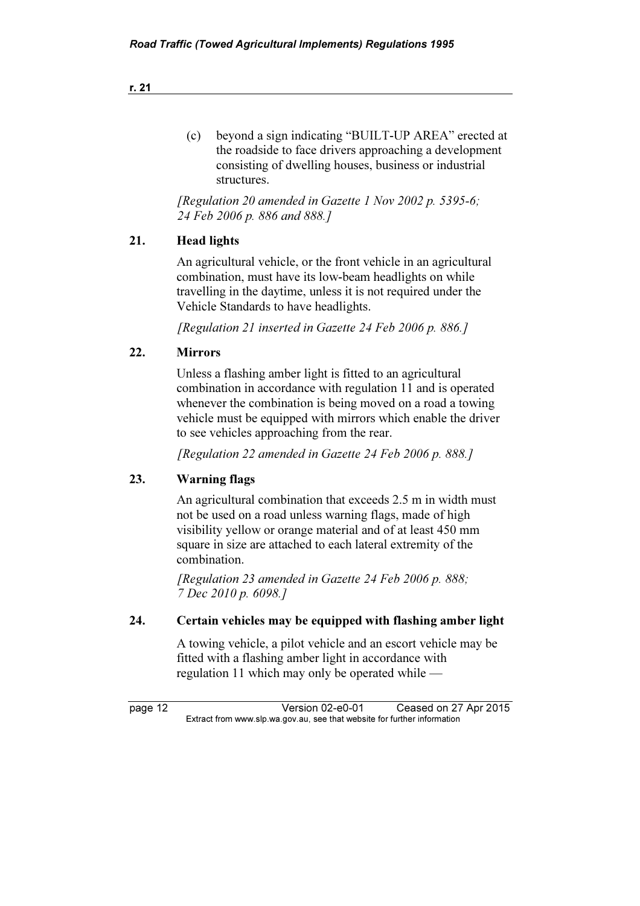| (c) | beyond a sign indicating "BUILT-UP AREA" erected at    |
|-----|--------------------------------------------------------|
|     | the roadside to face drivers approaching a development |
|     | consisting of dwelling houses, business or industrial  |
|     | structures.                                            |

[Regulation 20 amended in Gazette 1 Nov 2002 p. 5395-6; 24 Feb 2006 p. 886 and 888.]

#### 21. Head lights

 An agricultural vehicle, or the front vehicle in an agricultural combination, must have its low-beam headlights on while travelling in the daytime, unless it is not required under the Vehicle Standards to have headlights.

[Regulation 21 inserted in Gazette 24 Feb 2006 p. 886.]

#### 22. Mirrors

 Unless a flashing amber light is fitted to an agricultural combination in accordance with regulation 11 and is operated whenever the combination is being moved on a road a towing vehicle must be equipped with mirrors which enable the driver to see vehicles approaching from the rear.

[Regulation 22 amended in Gazette 24 Feb 2006 p. 888.]

#### 23. Warning flags

 An agricultural combination that exceeds 2.5 m in width must not be used on a road unless warning flags, made of high visibility yellow or orange material and of at least 450 mm square in size are attached to each lateral extremity of the combination.

[Regulation 23 amended in Gazette 24 Feb 2006 p. 888; 7 Dec 2010 p. 6098.]

#### 24. Certain vehicles may be equipped with flashing amber light

 A towing vehicle, a pilot vehicle and an escort vehicle may be fitted with a flashing amber light in accordance with regulation 11 which may only be operated while —

page 12 <br>Extract from www.slp.wa.gov.au, see that website for further information<br>Extract from www.slp.wa.gov.au, see that website for further information  $\mathbf{F}$  from which was the set that we besite for further information  $\mathbf{F}$ 

r. 21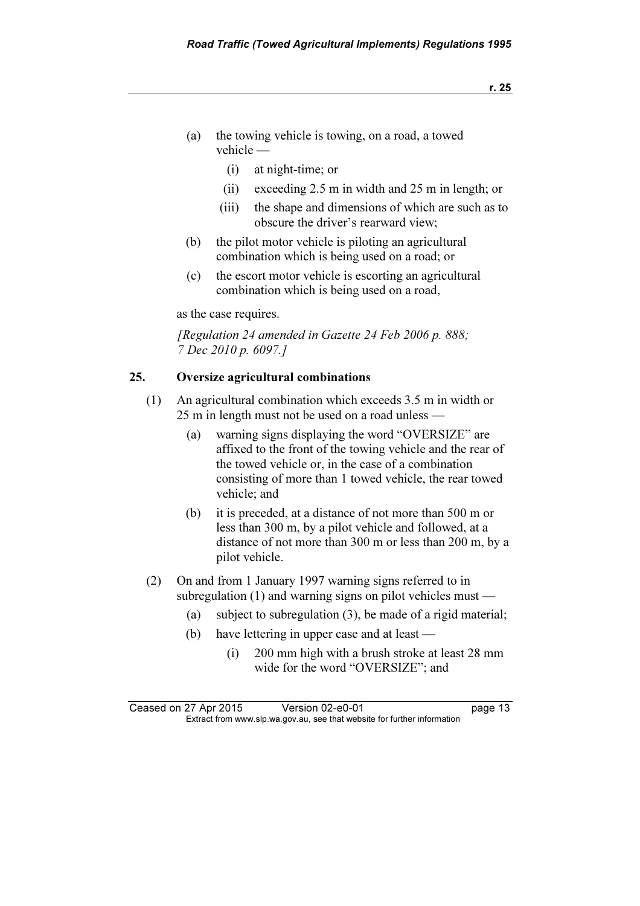- (a) the towing vehicle is towing, on a road, a towed vehicle —
	- (i) at night-time; or
	- (ii) exceeding 2.5 m in width and 25 m in length; or
	- (iii) the shape and dimensions of which are such as to obscure the driver's rearward view;
- (b) the pilot motor vehicle is piloting an agricultural combination which is being used on a road; or
- (c) the escort motor vehicle is escorting an agricultural combination which is being used on a road,

as the case requires.

[Regulation 24 amended in Gazette 24 Feb 2006 p. 888; 7 Dec 2010 p. 6097.]

#### 25. Oversize agricultural combinations

- (1) An agricultural combination which exceeds 3.5 m in width or 25 m in length must not be used on a road unless —
	- (a) warning signs displaying the word "OVERSIZE" are affixed to the front of the towing vehicle and the rear of the towed vehicle or, in the case of a combination consisting of more than 1 towed vehicle, the rear towed vehicle; and
	- (b) it is preceded, at a distance of not more than 500 m or less than 300 m, by a pilot vehicle and followed, at a distance of not more than 300 m or less than 200 m, by a pilot vehicle.
- (2) On and from 1 January 1997 warning signs referred to in subregulation (1) and warning signs on pilot vehicles must —
	- (a) subject to subregulation (3), be made of a rigid material;
	- (b) have lettering in upper case and at least
		- (i) 200 mm high with a brush stroke at least 28 mm wide for the word "OVERSIZE"; and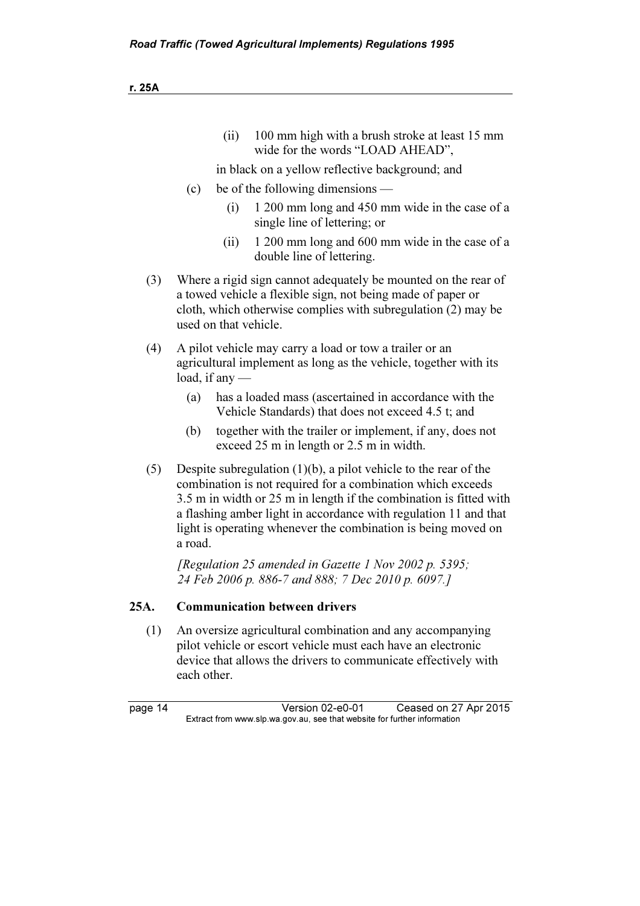(ii) 100 mm high with a brush stroke at least 15 mm wide for the words "LOAD AHEAD",

in black on a yellow reflective background; and

- (c) be of the following dimensions
	- (i) 1 200 mm long and 450 mm wide in the case of a single line of lettering; or
	- (ii) 1 200 mm long and 600 mm wide in the case of a double line of lettering.
- (3) Where a rigid sign cannot adequately be mounted on the rear of a towed vehicle a flexible sign, not being made of paper or cloth, which otherwise complies with subregulation (2) may be used on that vehicle.
- (4) A pilot vehicle may carry a load or tow a trailer or an agricultural implement as long as the vehicle, together with its load, if any —
	- (a) has a loaded mass (ascertained in accordance with the Vehicle Standards) that does not exceed 4.5 t; and
	- (b) together with the trailer or implement, if any, does not exceed 25 m in length or 2.5 m in width.
- (5) Despite subregulation (1)(b), a pilot vehicle to the rear of the combination is not required for a combination which exceeds 3.5 m in width or 25 m in length if the combination is fitted with a flashing amber light in accordance with regulation 11 and that light is operating whenever the combination is being moved on a road.

[Regulation 25 amended in Gazette 1 Nov 2002 p. 5395; 24 Feb 2006 p. 886-7 and 888; 7 Dec 2010 p. 6097.]

#### 25A. Communication between drivers

 (1) An oversize agricultural combination and any accompanying pilot vehicle or escort vehicle must each have an electronic device that allows the drivers to communicate effectively with each other.

page 14 Version 02-e0-01 Ceased on 27 Apr 2015<br>Extract from www.slp.wa.gov.au, see that website for further information  $\mathbf{F}$  from which was the set that we besite for further information  $\mathbf{F}$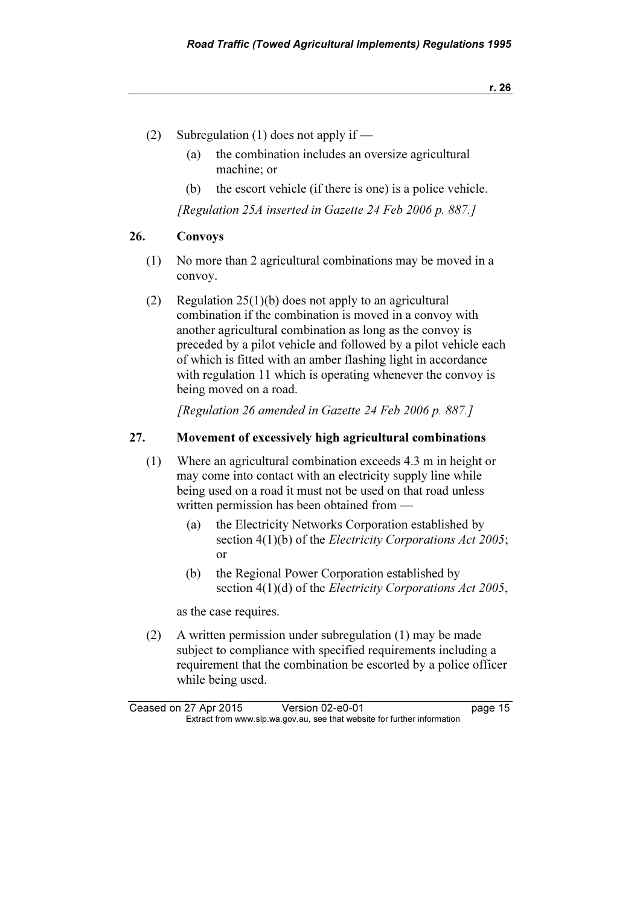- (2) Subregulation (1) does not apply if
	- (a) the combination includes an oversize agricultural machine; or
	- (b) the escort vehicle (if there is one) is a police vehicle.

[Regulation 25A inserted in Gazette 24 Feb 2006 p. 887.]

#### 26. Convoys

- (1) No more than 2 agricultural combinations may be moved in a convoy.
- (2) Regulation 25(1)(b) does not apply to an agricultural combination if the combination is moved in a convoy with another agricultural combination as long as the convoy is preceded by a pilot vehicle and followed by a pilot vehicle each of which is fitted with an amber flashing light in accordance with regulation 11 which is operating whenever the convoy is being moved on a road.

[Regulation 26 amended in Gazette 24 Feb 2006 p. 887.]

#### 27. Movement of excessively high agricultural combinations

- (1) Where an agricultural combination exceeds 4.3 m in height or may come into contact with an electricity supply line while being used on a road it must not be used on that road unless written permission has been obtained from —
	- (a) the Electricity Networks Corporation established by section 4(1)(b) of the *Electricity Corporations Act 2005*; or
	- (b) the Regional Power Corporation established by section 4(1)(d) of the *Electricity Corporations Act 2005*,

as the case requires.

 (2) A written permission under subregulation (1) may be made subject to compliance with specified requirements including a requirement that the combination be escorted by a police officer while being used.

Ceased on 27 Apr 2015 Version 02-e0-01 page 15<br>Extract from www.slp.wa.gov.au, see that website for further information  $\mathbf{F}$  from which was the set that we besite for further information  $\mathbf{F}$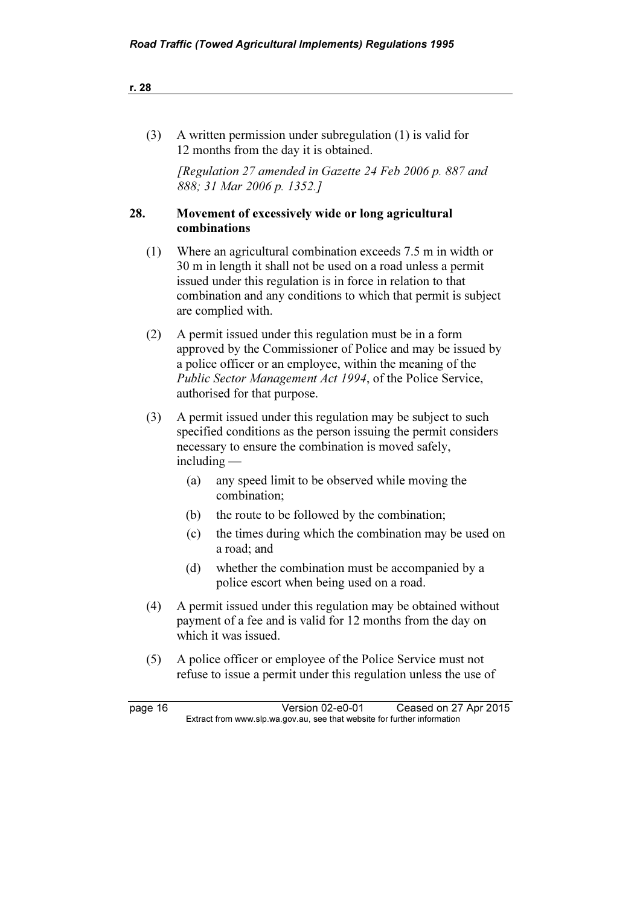| r. 28   |                                                                                                                                                                                                                                                                                      |  |
|---------|--------------------------------------------------------------------------------------------------------------------------------------------------------------------------------------------------------------------------------------------------------------------------------------|--|
|         |                                                                                                                                                                                                                                                                                      |  |
| (3)     | A written permission under subregulation (1) is valid for<br>12 months from the day it is obtained.                                                                                                                                                                                  |  |
|         | [Regulation 27 amended in Gazette 24 Feb 2006 p. 887 and<br>888; 31 Mar 2006 p. 1352.]                                                                                                                                                                                               |  |
| 28.     | Movement of excessively wide or long agricultural<br>combinations                                                                                                                                                                                                                    |  |
| (1)     | Where an agricultural combination exceeds 7.5 m in width or<br>30 m in length it shall not be used on a road unless a permit<br>issued under this regulation is in force in relation to that<br>combination and any conditions to which that permit is subject<br>are complied with. |  |
| (2)     | A permit issued under this regulation must be in a form<br>approved by the Commissioner of Police and may be issued by<br>a police officer or an employee, within the meaning of the<br>Public Sector Management Act 1994, of the Police Service,<br>authorised for that purpose.    |  |
| (3)     | A permit issued under this regulation may be subject to such<br>specified conditions as the person issuing the permit considers<br>necessary to ensure the combination is moved safely,<br>$including -$                                                                             |  |
|         | any speed limit to be observed while moving the<br>(a)<br>combination;                                                                                                                                                                                                               |  |
|         | the route to be followed by the combination;<br>(b)                                                                                                                                                                                                                                  |  |
|         | the times during which the combination may be used on<br>(c)<br>a road; and                                                                                                                                                                                                          |  |
|         | (d) whether the combination must be accompanied by a<br>police escort when being used on a road.                                                                                                                                                                                     |  |
| (4)     | A permit issued under this regulation may be obtained without<br>payment of a fee and is valid for 12 months from the day on<br>which it was issued.                                                                                                                                 |  |
| (5)     | A police officer or employee of the Police Service must not<br>refuse to issue a permit under this regulation unless the use of                                                                                                                                                      |  |
| page 16 | Version 02-e0-01<br>Ceased on 27 Apr 2015<br>Extract from www.slp.wa.gov.au, see that website for further information                                                                                                                                                                |  |
|         |                                                                                                                                                                                                                                                                                      |  |

 $28$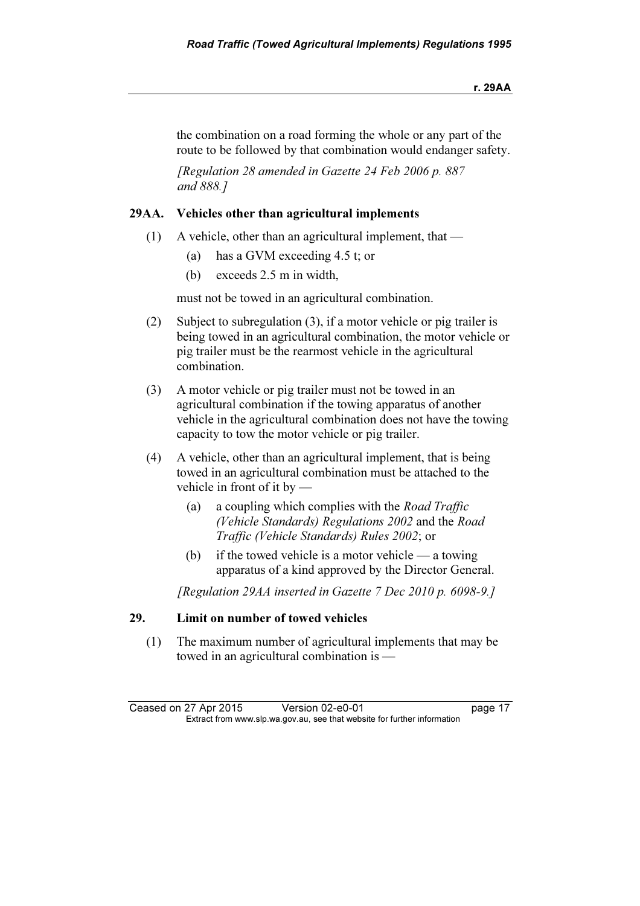the combination on a road forming the whole or any part of the route to be followed by that combination would endanger safety.

 [Regulation 28 amended in Gazette 24 Feb 2006 p. 887 and 888.]

#### 29AA. Vehicles other than agricultural implements

- (1) A vehicle, other than an agricultural implement, that
	- (a) has a GVM exceeding 4.5 t; or
	- (b) exceeds 2.5 m in width,

must not be towed in an agricultural combination.

- (2) Subject to subregulation (3), if a motor vehicle or pig trailer is being towed in an agricultural combination, the motor vehicle or pig trailer must be the rearmost vehicle in the agricultural combination.
- (3) A motor vehicle or pig trailer must not be towed in an agricultural combination if the towing apparatus of another vehicle in the agricultural combination does not have the towing capacity to tow the motor vehicle or pig trailer.
- (4) A vehicle, other than an agricultural implement, that is being towed in an agricultural combination must be attached to the vehicle in front of it by —
	- (a) a coupling which complies with the Road Traffic (Vehicle Standards) Regulations 2002 and the Road Traffic (Vehicle Standards) Rules 2002; or
	- (b) if the towed vehicle is a motor vehicle a towing apparatus of a kind approved by the Director General.

[Regulation 29AA inserted in Gazette 7 Dec 2010 p. 6098-9.]

#### 29. Limit on number of towed vehicles

 (1) The maximum number of agricultural implements that may be towed in an agricultural combination is —

Ceased on 27 Apr 2015 Version 02-e0-01 page 17<br>Extract from www.slp.wa.gov.au, see that website for further information  $\mathbf{F}$  from which was the set that we besite for further information  $\mathbf{F}$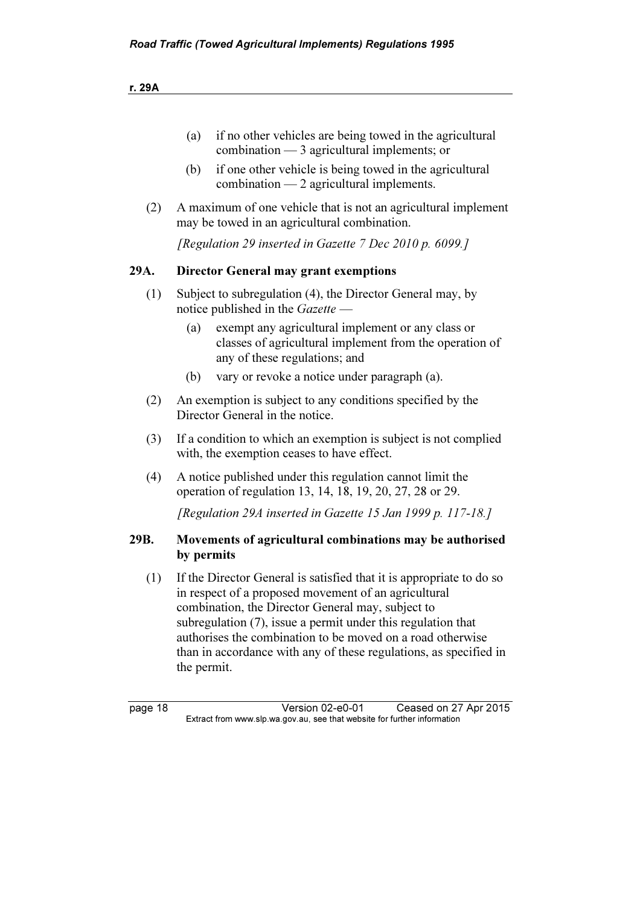- (a) if no other vehicles are being towed in the agricultural combination — 3 agricultural implements; or
- (b) if one other vehicle is being towed in the agricultural combination — 2 agricultural implements.
- (2) A maximum of one vehicle that is not an agricultural implement may be towed in an agricultural combination.

[Regulation 29 inserted in Gazette 7 Dec 2010 p. 6099.]

#### 29A. Director General may grant exemptions

- (1) Subject to subregulation (4), the Director General may, by notice published in the Gazette —
	- (a) exempt any agricultural implement or any class or classes of agricultural implement from the operation of any of these regulations; and
	- (b) vary or revoke a notice under paragraph (a).
- (2) An exemption is subject to any conditions specified by the Director General in the notice.
- (3) If a condition to which an exemption is subject is not complied with, the exemption ceases to have effect.
- (4) A notice published under this regulation cannot limit the operation of regulation 13, 14, 18, 19, 20, 27, 28 or 29.

[Regulation 29A inserted in Gazette 15 Jan 1999 p. 117-18.]

#### 29B. Movements of agricultural combinations may be authorised by permits

 (1) If the Director General is satisfied that it is appropriate to do so in respect of a proposed movement of an agricultural combination, the Director General may, subject to subregulation (7), issue a permit under this regulation that authorises the combination to be moved on a road otherwise than in accordance with any of these regulations, as specified in the permit.

page 18 Version 02-e0-01 Ceased on 27 Apr 2015<br>Extract from www.slp.wa.gov.au, see that website for further information  $\mathbf{F}$  from which was the set that we besite for further information  $\mathbf{F}$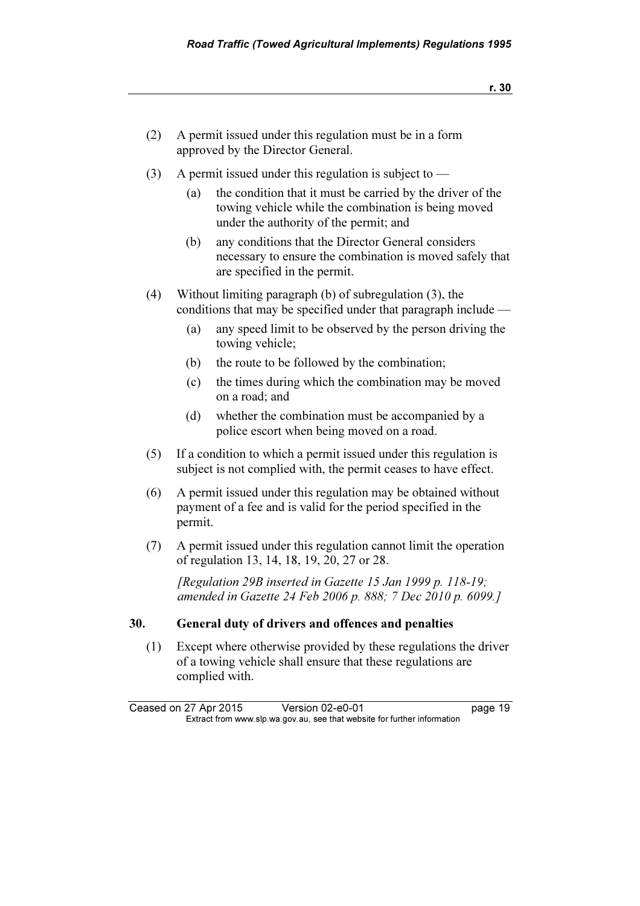- r. 30
- (2) A permit issued under this regulation must be in a form approved by the Director General.
- (3) A permit issued under this regulation is subject to  $-$ 
	- (a) the condition that it must be carried by the driver of the towing vehicle while the combination is being moved under the authority of the permit; and
	- (b) any conditions that the Director General considers necessary to ensure the combination is moved safely that are specified in the permit.
- (4) Without limiting paragraph (b) of subregulation (3), the conditions that may be specified under that paragraph include —
	- (a) any speed limit to be observed by the person driving the towing vehicle;
	- (b) the route to be followed by the combination;
	- (c) the times during which the combination may be moved on a road; and
	- (d) whether the combination must be accompanied by a police escort when being moved on a road.
- (5) If a condition to which a permit issued under this regulation is subject is not complied with, the permit ceases to have effect.
- (6) A permit issued under this regulation may be obtained without payment of a fee and is valid for the period specified in the permit.
- (7) A permit issued under this regulation cannot limit the operation of regulation 13, 14, 18, 19, 20, 27 or 28.

 [Regulation 29B inserted in Gazette 15 Jan 1999 p. 118-19; amended in Gazette 24 Feb 2006 p. 888; 7 Dec 2010 p. 6099.]

#### 30. General duty of drivers and offences and penalties

 (1) Except where otherwise provided by these regulations the driver of a towing vehicle shall ensure that these regulations are complied with.

Ceased on 27 Apr 2015 Version 02-e0-01 page 19<br>Extract from www.slp.wa.gov.au, see that website for further information  $\mathbf{F}$  from which was the set that we besite for further information  $\mathbf{F}$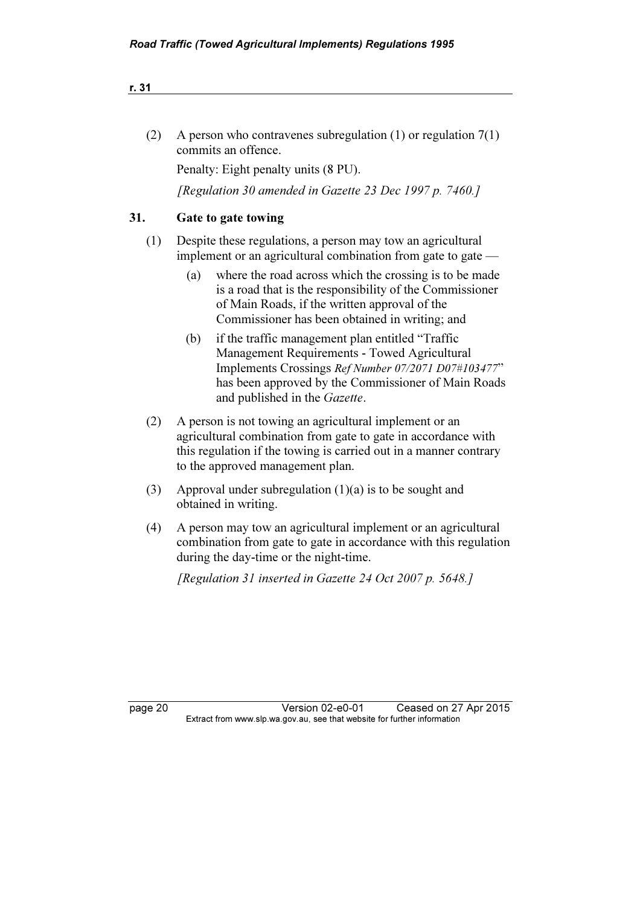| A person who contravenes subregulation $(1)$ or regulation $7(1)$ |
|-------------------------------------------------------------------|
| commits an offence.                                               |

Penalty: Eight penalty units (8 PU).

[Regulation 30 amended in Gazette 23 Dec 1997 p. 7460.]

#### 31. Gate to gate towing

- (1) Despite these regulations, a person may tow an agricultural implement or an agricultural combination from gate to gate —
	- (a) where the road across which the crossing is to be made is a road that is the responsibility of the Commissioner of Main Roads, if the written approval of the Commissioner has been obtained in writing; and
	- (b) if the traffic management plan entitled "Traffic Management Requirements - Towed Agricultural Implements Crossings Ref Number 07/2071 D07#103477" has been approved by the Commissioner of Main Roads and published in the Gazette.
- (2) A person is not towing an agricultural implement or an agricultural combination from gate to gate in accordance with this regulation if the towing is carried out in a manner contrary to the approved management plan.
- (3) Approval under subregulation (1)(a) is to be sought and obtained in writing.
- (4) A person may tow an agricultural implement or an agricultural combination from gate to gate in accordance with this regulation during the day-time or the night-time.

[Regulation 31 inserted in Gazette 24 Oct 2007 p. 5648.]

page 20 Version 02-e0-01 Ceased on 27 Apr 2015<br>Extract from www.slp.wa.gov.au, see that website for further information  $\mathbf{F}$  from which was the set that we besite for further information  $\mathbf{F}$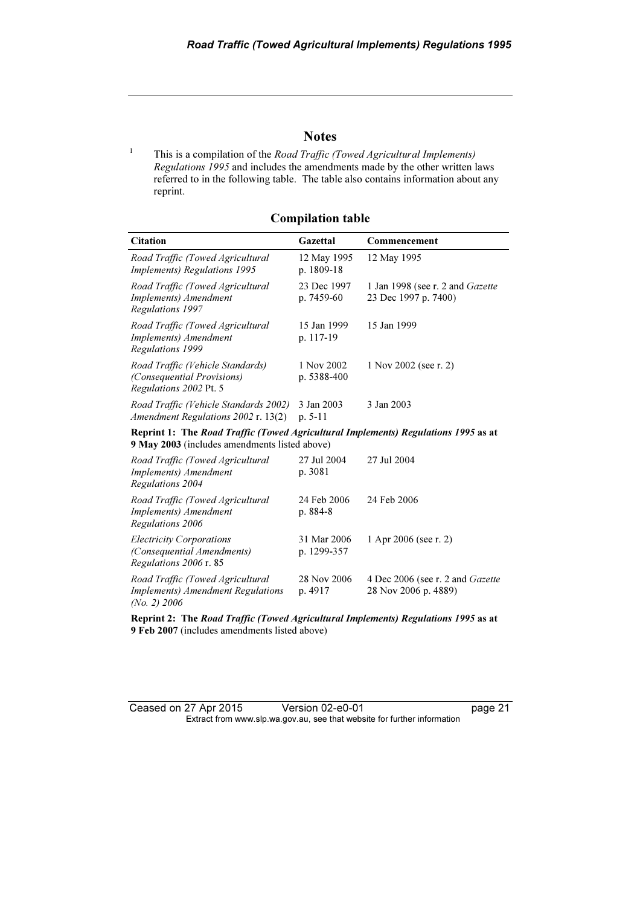#### **Notes**

 This is a compilation of the Road Traffic (Towed Agricultural Implements) Regulations 1995 and includes the amendments made by the other written laws referred to in the following table. The table also contains information about any reprint.

1

Compilation table

| <b>Citation</b>                                                                                                                     | Gazettal                   | Commencement                                                    |  |  |
|-------------------------------------------------------------------------------------------------------------------------------------|----------------------------|-----------------------------------------------------------------|--|--|
| Road Traffic (Towed Agricultural<br><i>Implements</i> ) Regulations 1995                                                            | 12 May 1995<br>p. 1809-18  | 12 May 1995                                                     |  |  |
| Road Traffic (Towed Agricultural<br>Implements) Amendment<br>Regulations 1997                                                       | 23 Dec 1997<br>p. 7459-60  | 1 Jan 1998 (see r. 2 and <i>Gazette</i><br>23 Dec 1997 p. 7400) |  |  |
| Road Traffic (Towed Agricultural<br>Implements) Amendment<br>Regulations 1999                                                       | 15 Jan 1999<br>p. 117-19   | 15 Jan 1999                                                     |  |  |
| Road Traffic (Vehicle Standards)<br>(Consequential Provisions)<br>Regulations 2002 Pt. 5                                            | 1 Nov 2002<br>p. 5388-400  | 1 Nov 2002 (see r. 2)                                           |  |  |
| Road Traffic (Vehicle Standards 2002)<br>Amendment Regulations 2002 r. 13(2)                                                        | 3 Jan 2003<br>$p. 5-11$    | 3 Jan 2003                                                      |  |  |
| Reprint 1: The Road Traffic (Towed Agricultural Implements) Regulations 1995 as at<br>9 May 2003 (includes amendments listed above) |                            |                                                                 |  |  |
| Road Traffic (Towed Agricultural<br>Implements) Amendment<br><b>Regulations 2004</b>                                                | 27 Jul 2004<br>p. 3081     | 27 Jul 2004                                                     |  |  |
| Road Traffic (Towed Agricultural<br>Implements) Amendment<br>Regulations 2006                                                       | 24 Feb 2006<br>p. 884-8    | 24 Feb 2006                                                     |  |  |
| <b>Electricity Corporations</b><br>(Consequential Amendments)<br>Regulations 2006 r. 85                                             | 31 Mar 2006<br>p. 1299-357 | 1 Apr 2006 (see r. 2)                                           |  |  |
| Road Traffic (Towed Agricultural<br><b>Implements)</b> Amendment Regulations<br>(No. 2) 2006                                        | 28 Nov 2006<br>p. 4917     | 4 Dec 2006 (see r. 2 and <i>Gazette</i><br>28 Nov 2006 p. 4889) |  |  |

Reprint 2: The Road Traffic (Towed Agricultural Implements) Regulations 1995 as at 9 Feb 2007 (includes amendments listed above)

Ceased on 27 Apr 2015 Version 02-e0-01 page 21 Extract from www.slp.wa.gov.au, see that website for further information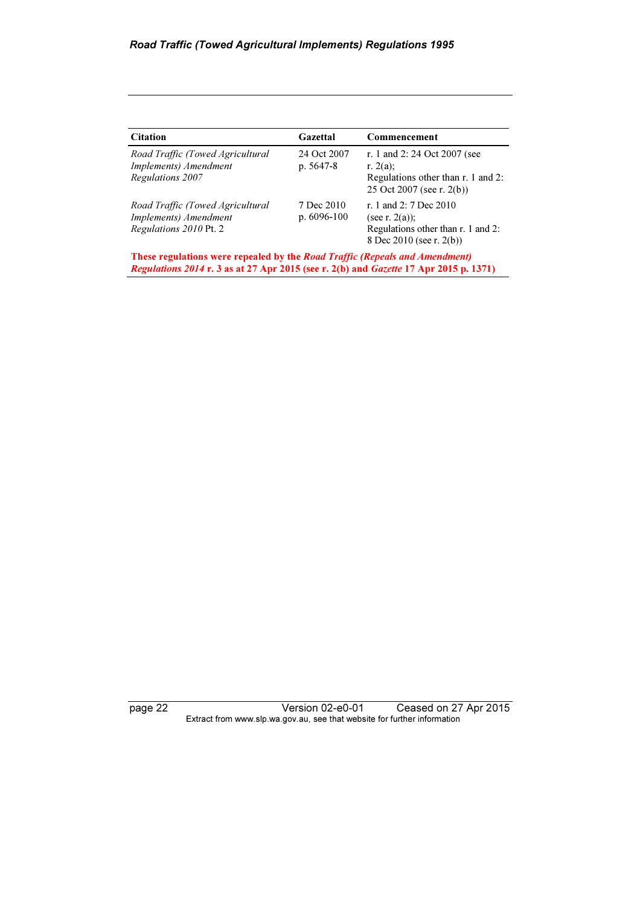| 24 Oct 2007<br>p. $5647-8$    | r. 1 and 2: 24 Oct 2007 (see<br>r. $2(a)$ :<br>Regulations other than r. 1 and 2:<br>25 Oct 2007 (see r. 2(b)) |
|-------------------------------|----------------------------------------------------------------------------------------------------------------|
| 7 Dec 2010<br>p. $6096 - 100$ | r. 1 and 2: 7 Dec 2010<br>(see r. $2(a)$ );<br>Regulations other than r. 1 and 2:<br>8 Dec 2010 (see r. 2(b))  |
|                               | <b>These regulations were repealed by the Road Traffic (Repeals and Amendment)</b>                             |

page 22 Version 02-e0-01 Ceased on 27 Apr 2015 Extract from www.slp.wa.gov.au, see that website for further information